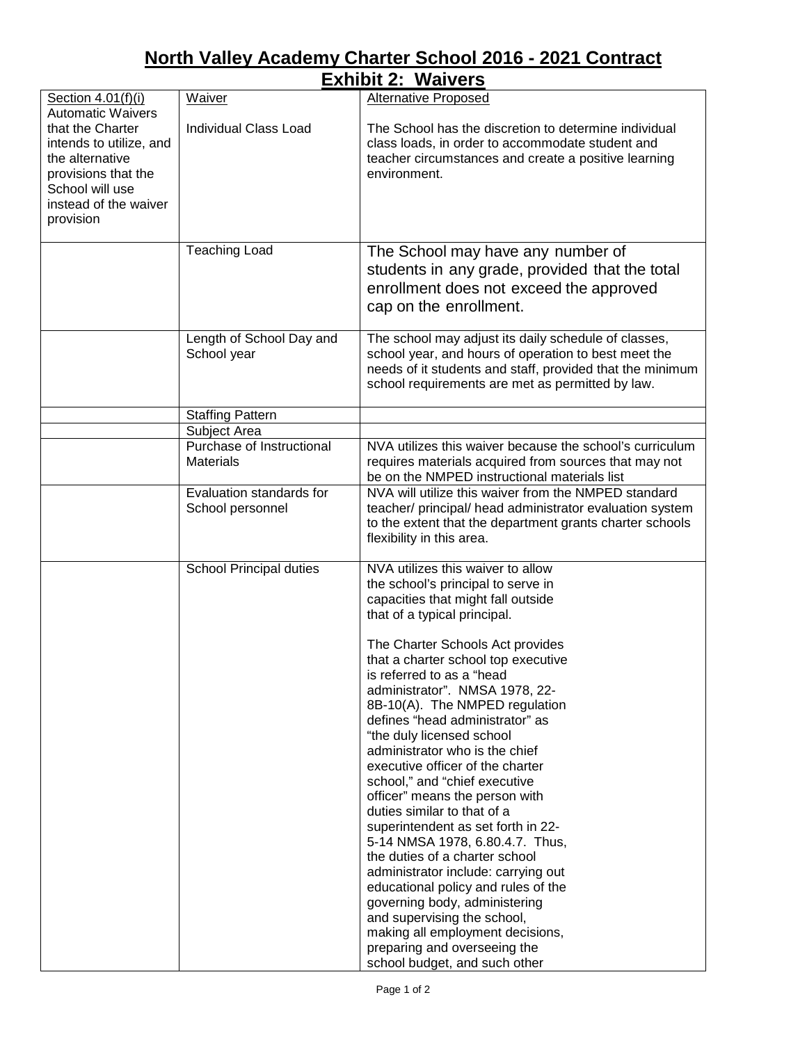## **North Valley Academy Charter School 2016 - 2021 Contract**

|                                                                                                                                                                            |                                               | <b>Exhibit 2: Waivers</b>                                                                                                                                                                                                                                                                                                                                                                                                                                                                                                                                                                                                                                                                                                                                                                                                                                                                                                       |
|----------------------------------------------------------------------------------------------------------------------------------------------------------------------------|-----------------------------------------------|---------------------------------------------------------------------------------------------------------------------------------------------------------------------------------------------------------------------------------------------------------------------------------------------------------------------------------------------------------------------------------------------------------------------------------------------------------------------------------------------------------------------------------------------------------------------------------------------------------------------------------------------------------------------------------------------------------------------------------------------------------------------------------------------------------------------------------------------------------------------------------------------------------------------------------|
| Section 4.01(f)(i)                                                                                                                                                         | Waiver                                        | <b>Alternative Proposed</b>                                                                                                                                                                                                                                                                                                                                                                                                                                                                                                                                                                                                                                                                                                                                                                                                                                                                                                     |
| <b>Automatic Waivers</b><br>that the Charter<br>intends to utilize, and<br>the alternative<br>provisions that the<br>School will use<br>instead of the waiver<br>provision | <b>Individual Class Load</b>                  | The School has the discretion to determine individual<br>class loads, in order to accommodate student and<br>teacher circumstances and create a positive learning<br>environment.                                                                                                                                                                                                                                                                                                                                                                                                                                                                                                                                                                                                                                                                                                                                               |
|                                                                                                                                                                            |                                               |                                                                                                                                                                                                                                                                                                                                                                                                                                                                                                                                                                                                                                                                                                                                                                                                                                                                                                                                 |
|                                                                                                                                                                            | <b>Teaching Load</b>                          | The School may have any number of<br>students in any grade, provided that the total<br>enrollment does not exceed the approved<br>cap on the enrollment.                                                                                                                                                                                                                                                                                                                                                                                                                                                                                                                                                                                                                                                                                                                                                                        |
|                                                                                                                                                                            | Length of School Day and<br>School year       | The school may adjust its daily schedule of classes,<br>school year, and hours of operation to best meet the<br>needs of it students and staff, provided that the minimum<br>school requirements are met as permitted by law.                                                                                                                                                                                                                                                                                                                                                                                                                                                                                                                                                                                                                                                                                                   |
|                                                                                                                                                                            | <b>Staffing Pattern</b>                       |                                                                                                                                                                                                                                                                                                                                                                                                                                                                                                                                                                                                                                                                                                                                                                                                                                                                                                                                 |
|                                                                                                                                                                            | Subject Area                                  |                                                                                                                                                                                                                                                                                                                                                                                                                                                                                                                                                                                                                                                                                                                                                                                                                                                                                                                                 |
|                                                                                                                                                                            | Purchase of Instructional<br><b>Materials</b> | NVA utilizes this waiver because the school's curriculum<br>requires materials acquired from sources that may not<br>be on the NMPED instructional materials list                                                                                                                                                                                                                                                                                                                                                                                                                                                                                                                                                                                                                                                                                                                                                               |
|                                                                                                                                                                            | Evaluation standards for<br>School personnel  | NVA will utilize this waiver from the NMPED standard<br>teacher/ principal/ head administrator evaluation system<br>to the extent that the department grants charter schools<br>flexibility in this area.                                                                                                                                                                                                                                                                                                                                                                                                                                                                                                                                                                                                                                                                                                                       |
|                                                                                                                                                                            | School Principal duties                       | NVA utilizes this waiver to allow<br>the school's principal to serve in<br>capacities that might fall outside<br>that of a typical principal.<br>The Charter Schools Act provides<br>that a charter school top executive<br>is referred to as a "head<br>administrator". NMSA 1978, 22-<br>8B-10(A). The NMPED regulation<br>defines "head administrator" as<br>"the duly licensed school<br>administrator who is the chief<br>executive officer of the charter<br>school," and "chief executive<br>officer" means the person with<br>duties similar to that of a<br>superintendent as set forth in 22-<br>5-14 NMSA 1978, 6.80.4.7. Thus,<br>the duties of a charter school<br>administrator include: carrying out<br>educational policy and rules of the<br>governing body, administering<br>and supervising the school,<br>making all employment decisions,<br>preparing and overseeing the<br>school budget, and such other |